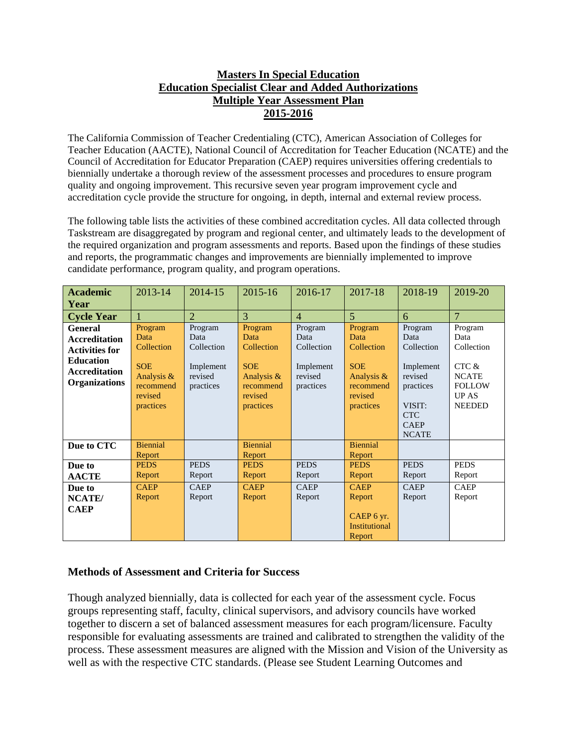## **Masters In Special Education Education Specialist Clear and Added Authorizations Multiple Year Assessment Plan 2015-2016**

The California Commission of Teacher Credentialing (CTC), American Association of Colleges for Teacher Education (AACTE), National Council of Accreditation for Teacher Education (NCATE) and the Council of Accreditation for Educator Preparation (CAEP) requires universities offering credentials to biennially undertake a thorough review of the assessment processes and procedures to ensure program quality and ongoing improvement. This recursive seven year program improvement cycle and accreditation cycle provide the structure for ongoing, in depth, internal and external review process.

The following table lists the activities of these combined accreditation cycles. All data collected through Taskstream are disaggregated by program and regional center, and ultimately leads to the development of the required organization and program assessments and reports. Based upon the findings of these studies and reports, the programmatic changes and improvements are biennially implemented to improve candidate performance, program quality, and program operations.

| <b>Academic</b>       | 2013-14               | 2014-15              | 2015-16               | 2016-17              | 2017-18               | 2018-19              | 2019-20        |
|-----------------------|-----------------------|----------------------|-----------------------|----------------------|-----------------------|----------------------|----------------|
| Year                  |                       |                      |                       |                      |                       |                      |                |
| <b>Cycle Year</b>     |                       | $\overline{2}$       | 3                     | $\overline{4}$       | $\overline{5}$        | 6                    | $\overline{7}$ |
| <b>General</b>        | Program               | Program              | Program               | Program              | Program               | Program              | Program        |
| <b>Accreditation</b>  | Data                  | Data                 | Data                  | Data                 | Data                  | Data                 | Data           |
| <b>Activities for</b> | Collection            | Collection           | Collection            | Collection           | Collection            | Collection           | Collection     |
| <b>Education</b>      | <b>SOE</b>            |                      | <b>SOE</b>            |                      | <b>SOE</b>            |                      | CTC &          |
| <b>Accreditation</b>  | Analysis &            | Implement<br>revised | Analysis $\&$         | Implement<br>revised | Analysis &            | Implement<br>revised | <b>NCATE</b>   |
| <b>Organizations</b>  | recommend             | practices            | recommend             | practices            | recommend             | practices            | <b>FOLLOW</b>  |
|                       | revised               |                      | revised               |                      | revised               |                      | <b>UP AS</b>   |
|                       | practices             |                      | practices             |                      | practices             | VISIT:               | <b>NEEDED</b>  |
|                       |                       |                      |                       |                      |                       | <b>CTC</b>           |                |
|                       |                       |                      |                       |                      |                       | <b>CAEP</b>          |                |
|                       |                       |                      |                       |                      |                       | <b>NCATE</b>         |                |
| Due to CTC            | <b>Biennial</b>       |                      | <b>Biennial</b>       |                      | <b>Biennial</b>       |                      |                |
|                       | Report<br><b>PEDS</b> | <b>PEDS</b>          | Report<br><b>PEDS</b> | <b>PEDS</b>          | Report<br><b>PEDS</b> | <b>PEDS</b>          | <b>PEDS</b>    |
| Due to                |                       |                      |                       |                      |                       |                      |                |
| <b>AACTE</b>          | Report                | Report               | Report                | Report               | Report                | Report               | Report         |
| Due to                | <b>CAEP</b>           | <b>CAEP</b>          | <b>CAEP</b>           | <b>CAEP</b>          | <b>CAEP</b>           | <b>CAEP</b>          | <b>CAEP</b>    |
| NCATE/                | Report                | Report               | Report                | Report               | Report                | Report               | Report         |
| <b>CAEP</b>           |                       |                      |                       |                      |                       |                      |                |
|                       |                       |                      |                       |                      | CAEP 6 yr.            |                      |                |
|                       |                       |                      |                       |                      | <b>Institutional</b>  |                      |                |
|                       |                       |                      |                       |                      | Report                |                      |                |

## **Methods of Assessment and Criteria for Success**

Though analyzed biennially, data is collected for each year of the assessment cycle. Focus groups representing staff, faculty, clinical supervisors, and advisory councils have worked together to discern a set of balanced assessment measures for each program/licensure. Faculty responsible for evaluating assessments are trained and calibrated to strengthen the validity of the process. These assessment measures are aligned with the Mission and Vision of the University as well as with the respective CTC standards. (Please see Student Learning Outcomes and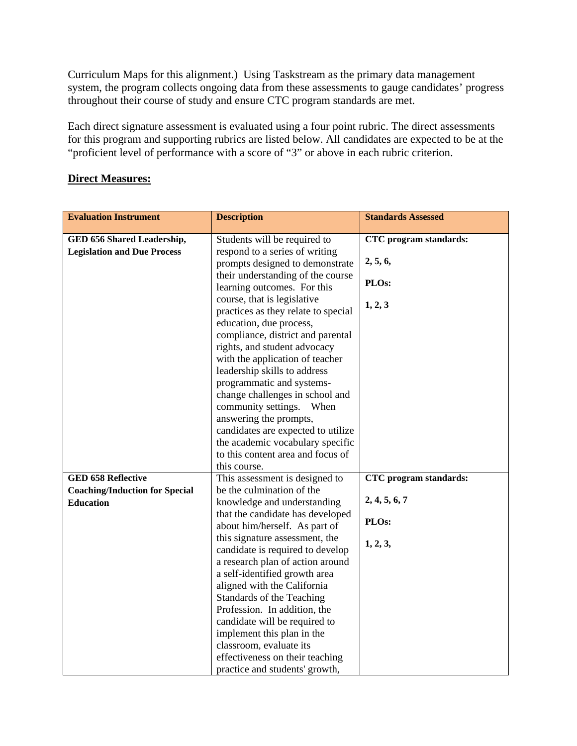Curriculum Maps for this alignment.) Using Taskstream as the primary data management system, the program collects ongoing data from these assessments to gauge candidates' progress throughout their course of study and ensure CTC program standards are met.

Each direct signature assessment is evaluated using a four point rubric. The direct assessments for this program and supporting rubrics are listed below. All candidates are expected to be at the "proficient level of performance with a score of "3" or above in each rubric criterion.

## **Direct Measures:**

| <b>Evaluation Instrument</b>          | <b>Description</b>                                                                            | <b>Standards Assessed</b> |  |
|---------------------------------------|-----------------------------------------------------------------------------------------------|---------------------------|--|
| GED 656 Shared Leadership,            | Students will be required to                                                                  | CTC program standards:    |  |
| <b>Legislation and Due Process</b>    | respond to a series of writing<br>prompts designed to demonstrate                             | 2, 5, 6,                  |  |
|                                       | their understanding of the course<br>learning outcomes. For this                              | PLOs:                     |  |
|                                       | course, that is legislative<br>practices as they relate to special<br>education, due process, | 1, 2, 3                   |  |
|                                       | compliance, district and parental                                                             |                           |  |
|                                       | rights, and student advocacy                                                                  |                           |  |
|                                       | with the application of teacher<br>leadership skills to address                               |                           |  |
|                                       | programmatic and systems-                                                                     |                           |  |
|                                       | change challenges in school and                                                               |                           |  |
|                                       | community settings.<br>When                                                                   |                           |  |
|                                       | answering the prompts,                                                                        |                           |  |
|                                       | candidates are expected to utilize                                                            |                           |  |
|                                       | the academic vocabulary specific                                                              |                           |  |
|                                       | to this content area and focus of                                                             |                           |  |
|                                       | this course.                                                                                  |                           |  |
| <b>GED 658 Reflective</b>             | This assessment is designed to                                                                | CTC program standards:    |  |
| <b>Coaching/Induction for Special</b> | be the culmination of the                                                                     |                           |  |
| <b>Education</b>                      | knowledge and understanding                                                                   | 2, 4, 5, 6, 7             |  |
|                                       | that the candidate has developed<br>about him/herself. As part of                             | PLOs:                     |  |
|                                       | this signature assessment, the<br>candidate is required to develop                            | 1, 2, 3,                  |  |
|                                       | a research plan of action around                                                              |                           |  |
|                                       | a self-identified growth area                                                                 |                           |  |
|                                       | aligned with the California                                                                   |                           |  |
|                                       | Standards of the Teaching                                                                     |                           |  |
|                                       | Profession. In addition, the                                                                  |                           |  |
|                                       | candidate will be required to                                                                 |                           |  |
|                                       | implement this plan in the                                                                    |                           |  |
|                                       | classroom, evaluate its                                                                       |                           |  |
|                                       | effectiveness on their teaching<br>practice and students' growth,                             |                           |  |